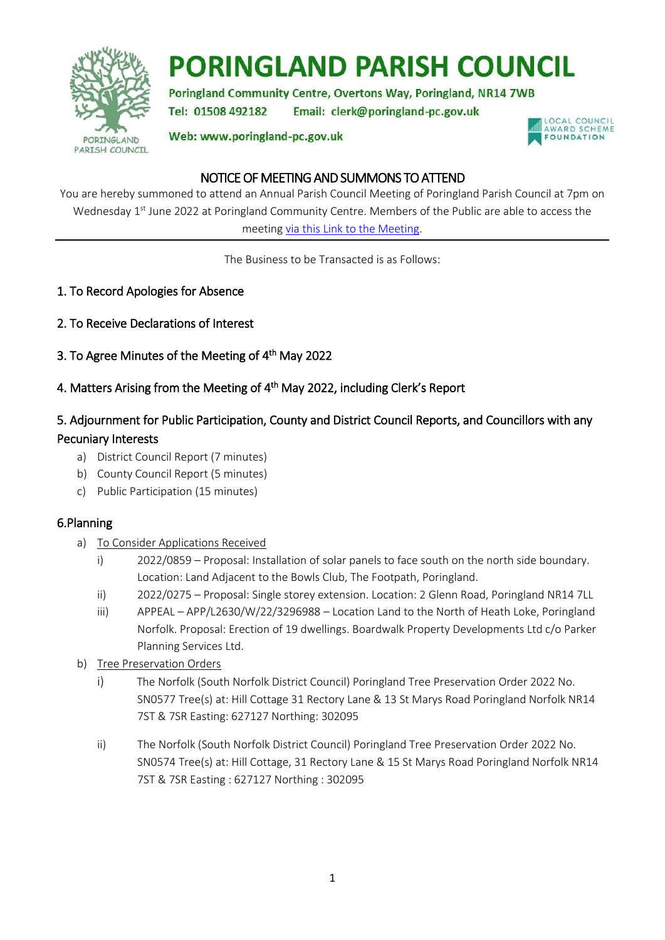

# **PORINGLAND PARISH COUNCIL**

Poringland Community Centre, Overtons Way, Poringland, NR14 7WB Tel: 01508 492182 Email: clerk@poringland-pc.gov.uk

Web: www.poringland-pc.gov.uk



## NOTICE OF MEETING AND SUMMONS TO ATTEND

You are hereby summoned to attend an Annual Parish Council Meeting of Poringland Parish Council at 7pm on Wednesday 1<sup>st</sup> June 2022 at Poringland Community Centre. Members of the Public are able to access the meeting [via this Link to the](https://teams.live.com/meet/9464769032380) Meeting.

The Business to be Transacted is as Follows:

- 1. To Record Apologies for Absence
- 2. To Receive Declarations of Interest
- 3. To Agree Minutes of the Meeting of 4<sup>th</sup> May 2022
- 4. Matters Arising from the Meeting of 4<sup>th</sup> May 2022, including Clerk's Report

# 5. Adjournment for Public Participation, County and District Council Reports, and Councillors with any Pecuniary Interests

- a) District Council Report (7 minutes)
- b) County Council Report (5 minutes)
- c) Public Participation (15 minutes)

#### 6.Planning

- a) To Consider Applications Received
	- i) 2022/0859 Proposal: Installation of solar panels to face south on the north side boundary. Location: Land Adjacent to the Bowls Club, The Footpath, Poringland.
	- ii) 2022/0275 Proposal: Single storey extension. Location: 2 Glenn Road, Poringland NR14 7LL
	- iii) APPEAL APP/L2630/W/22/3296988 Location Land to the North of Heath Loke, Poringland Norfolk. Proposal: Erection of 19 dwellings. Boardwalk Property Developments Ltd c/o Parker Planning Services Ltd.
- b) Tree Preservation Orders
	- i) The Norfolk (South Norfolk District Council) Poringland Tree Preservation Order 2022 No. SN0577 Tree(s) at: Hill Cottage 31 Rectory Lane & 13 St Marys Road Poringland Norfolk NR14 7ST & 7SR Easting: 627127 Northing: 302095
	- ii) The Norfolk (South Norfolk District Council) Poringland Tree Preservation Order 2022 No. SN0574 Tree(s) at: Hill Cottage, 31 Rectory Lane & 15 St Marys Road Poringland Norfolk NR14 7ST & 7SR Easting : 627127 Northing : 302095